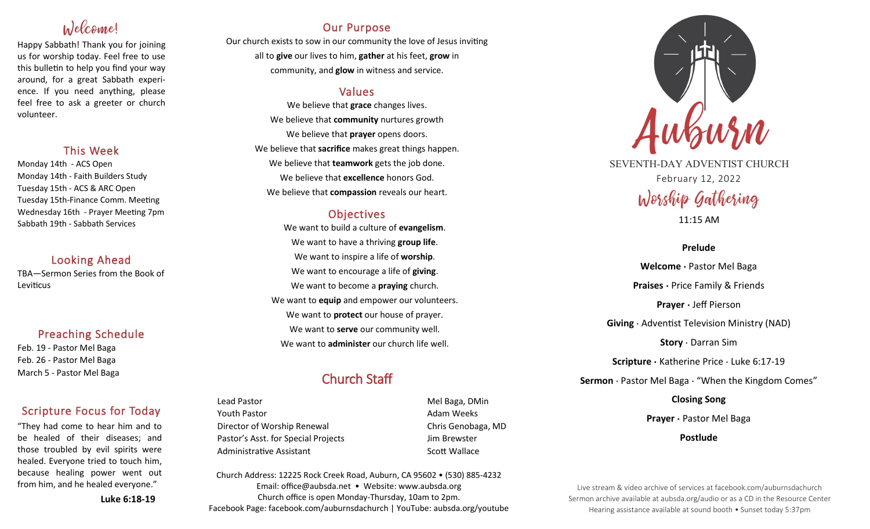# Welcome!

Happy Sabbath! Thank you for joining us for worship today. Feel free to use this bulletin to help you find your way around, for a great Sabbath experience. If you need anything, please feel free to ask a greeter or church volunteer.

### This Week

Monday 14th - ACS Open Monday 14th - Faith Builders Study Tuesday 15th - ACS & ARC Open Tuesday 15th-Finance Comm. Meeting Wednesday 16th - Prayer Meeting 7pm Sabbath 19th - Sabbath Services

### Looking Ahead

TBA—Sermon Series from the Book of Leviticus

### Preaching Schedule

Feb. 19 - Pastor Mel Baga Feb. 26 - Pastor Mel Baga March 5 - Pastor Mel Baga

### Scripture Focus for Today

"They had come to hear him and to be healed of their diseases; and those troubled by evil spirits were healed. Everyone tried to touch him, because healing power went out from him, and he healed everyone."

**Luke 6:18-19**

### Our Purpose

Our church exists to sow in our community the love of Jesus inviting all to **give** our lives to him, **gather** at his feet, **grow** in community, and **glow** in witness and service.

### Values

We believe that **grace** changes lives. We believe that **community** nurtures growth We believe that **prayer** opens doors. We believe that **sacrifice** makes great things happen. We believe that **teamwork** gets the job done. We believe that **excellence** honors God. We believe that **compassion** reveals our heart.

### **Objectives**

We want to build a culture of **evangelism**. We want to have a thriving **group life**. We want to inspire a life of **worship**. We want to encourage a life of **giving**. We want to become a **praying** church. We want to **equip** and empower our volunteers. We want to **protect** our house of prayer. We want to **serve** our community well. We want to **administer** our church life well.

# Church Staff

Lead Pastor Nell Baga, DMin Youth Pastor **Adam Weeks Adam Weeks** Director of Worship Renewal **Chris Genobaga**, MD Pastor's Asst. for Special Projects Fig. 3.1 Jim Brewster Administrative Assistant National Controllery Scott Wallace

Church Address: 12225 Rock Creek Road, Auburn, CA 95602 • (530) 885-4232 Email: office@aubsda.net • Website: www.aubsda.org Church office is open Monday-Thursday, 10am to 2pm. Facebook Page: facebook.com/auburnsdachurch | YouTube: aubsda.org/youtube



SEVENTH-DAY ADVENTIST CHURCH February 12, 2022 Worship Gathering

11:15 AM

### **Prelude**

**Welcome ·** Pastor Mel Baga **Praises** · Price Family & Friends **Prayer ·** Jeff Pierson **Giving** · Adventist Television Ministry (NAD) **Story** · Darran Sim **Scripture ·** Katherine Price · Luke 6:17-19 **Sermon** · Pastor Mel Baga · "When the Kingdom Comes" **Closing Song Prayer ·** Pastor Mel Baga

**Postlude**

Live stream & video archive of services at facebook.com/auburnsdachurch Sermon archive available at aubsda.org/audio or as a CD in the Resource Center Hearing assistance available at sound booth • Sunset today 5:37pm